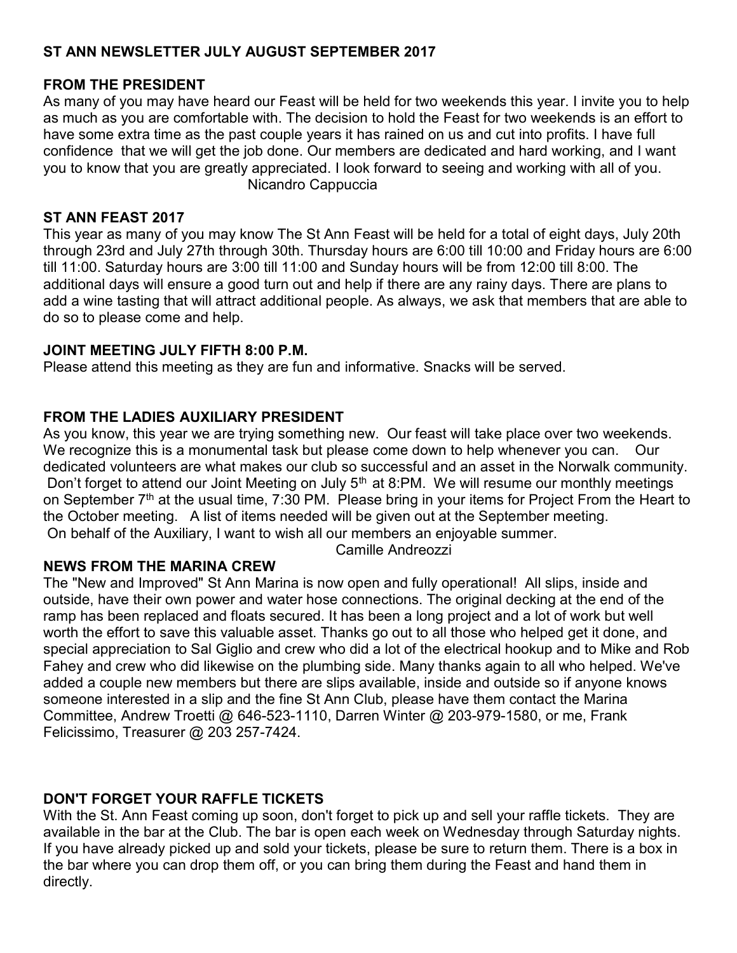## ST ANN NEWSLETTER JULY AUGUST SEPTEMBER 2017

## FROM THE PRESIDENT

As many of you may have heard our Feast will be held for two weekends this year. I invite you to help as much as you are comfortable with. The decision to hold the Feast for two weekends is an effort to have some extra time as the past couple years it has rained on us and cut into profits. I have full confidence that we will get the job done. Our members are dedicated and hard working, and I want you to know that you are greatly appreciated. I look forward to seeing and working with all of you. Nicandro Cappuccia

## ST ANN FEAST 2017

This year as many of you may know The St Ann Feast will be held for a total of eight days, July 20th through 23rd and July 27th through 30th. Thursday hours are 6:00 till 10:00 and Friday hours are 6:00 till 11:00. Saturday hours are 3:00 till 11:00 and Sunday hours will be from 12:00 till 8:00. The additional days will ensure a good turn out and help if there are any rainy days. There are plans to add a wine tasting that will attract additional people. As always, we ask that members that are able to do so to please come and help.

## JOINT MEETING JULY FIFTH 8:00 P.M.

Please attend this meeting as they are fun and informative. Snacks will be served.

## FROM THE LADIES AUXILIARY PRESIDENT

As you know, this year we are trying something new. Our feast will take place over two weekends. We recognize this is a monumental task but please come down to help whenever you can. Our dedicated volunteers are what makes our club so successful and an asset in the Norwalk community. Don't forget to attend our Joint Meeting on July  $5<sup>th</sup>$  at 8:PM. We will resume our monthly meetings on September  $7<sup>th</sup>$  at the usual time, 7:30 PM. Please bring in your items for Project From the Heart to the October meeting. A list of items needed will be given out at the September meeting. On behalf of the Auxiliary, I want to wish all our members an enjoyable summer.

Camille Andreozzi

## NEWS FROM THE MARINA CREW

The "New and Improved" St Ann Marina is now open and fully operational! All slips, inside and outside, have their own power and water hose connections. The original decking at the end of the ramp has been replaced and floats secured. It has been a long project and a lot of work but well worth the effort to save this valuable asset. Thanks go out to all those who helped get it done, and special appreciation to Sal Giglio and crew who did a lot of the electrical hookup and to Mike and Rob Fahey and crew who did likewise on the plumbing side. Many thanks again to all who helped. We've added a couple new members but there are slips available, inside and outside so if anyone knows someone interested in a slip and the fine St Ann Club, please have them contact the Marina Committee, Andrew Troetti @ 646-523-1110, Darren Winter @ 203-979-1580, or me, Frank Felicissimo, Treasurer @ 203 257-7424.

# DON'T FORGET YOUR RAFFLE TICKETS

With the St. Ann Feast coming up soon, don't forget to pick up and sell your raffle tickets. They are available in the bar at the Club. The bar is open each week on Wednesday through Saturday nights. If you have already picked up and sold your tickets, please be sure to return them. There is a box in the bar where you can drop them off, or you can bring them during the Feast and hand them in directly.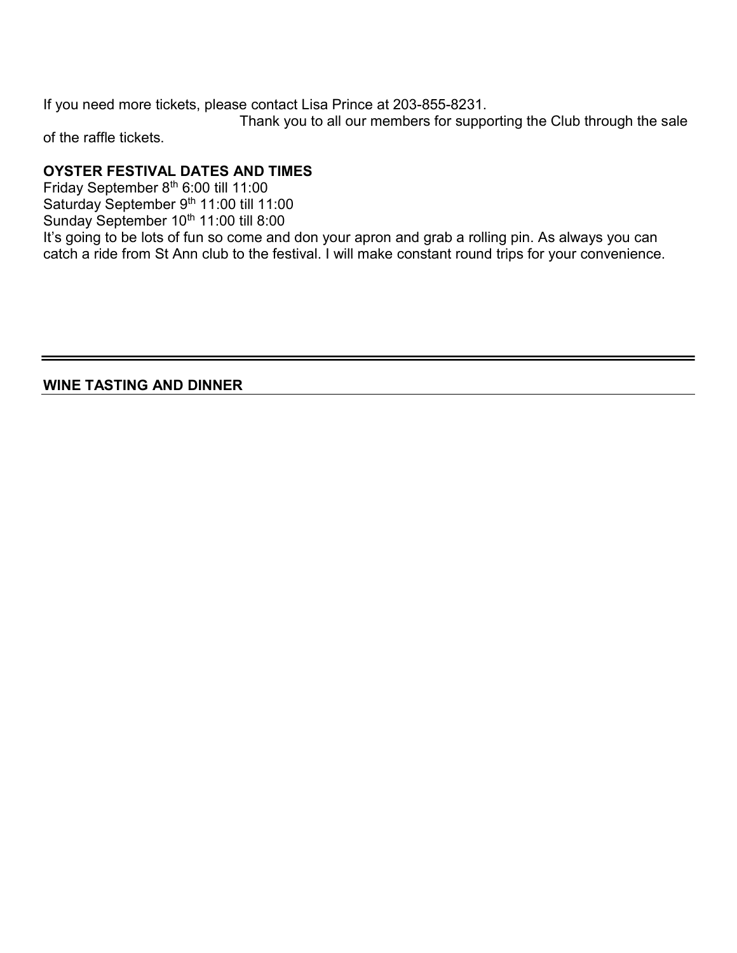If you need more tickets, please contact Lisa Prince at 203-855-8231.

 Thank you to all our members for supporting the Club through the sale of the raffle tickets.

## OYSTER FESTIVAL DATES AND TIMES

Friday September 8<sup>th</sup> 6:00 till 11:00 Saturday September 9<sup>th</sup> 11:00 till 11:00 Sunday September 10<sup>th</sup> 11:00 till 8:00 It's going to be lots of fun so come and don your apron and grab a rolling pin. As always you can catch a ride from St Ann club to the festival. I will make constant round trips for your convenience.

WINE TASTING AND DINNER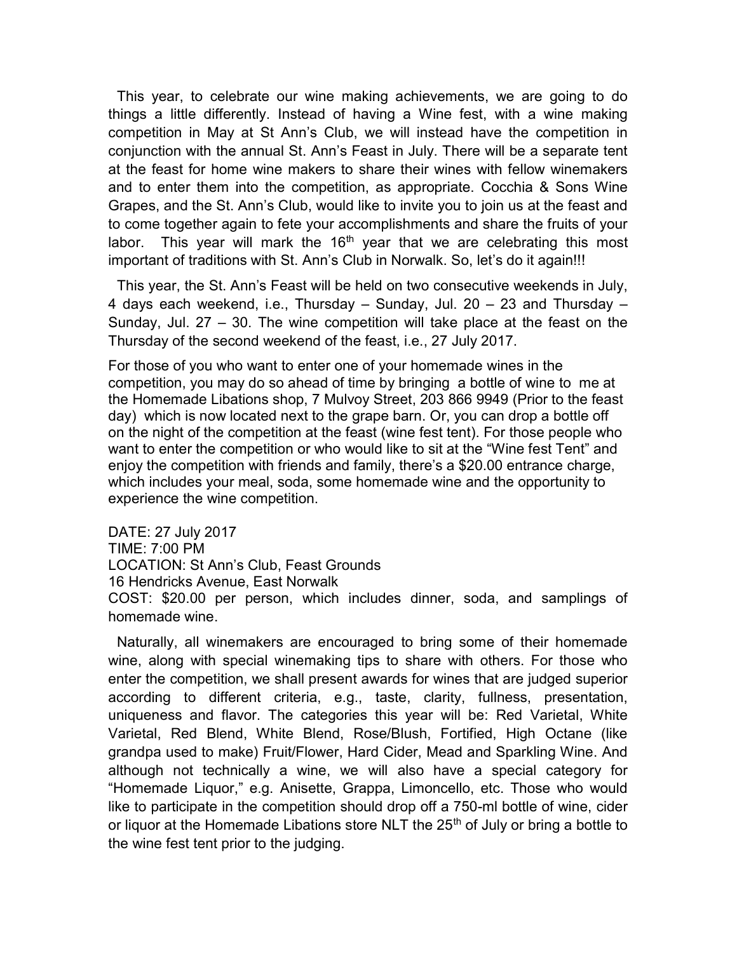This year, to celebrate our wine making achievements, we are going to do things a little differently. Instead of having a Wine fest, with a wine making competition in May at St Ann's Club, we will instead have the competition in conjunction with the annual St. Ann's Feast in July. There will be a separate tent at the feast for home wine makers to share their wines with fellow winemakers and to enter them into the competition, as appropriate. Cocchia & Sons Wine Grapes, and the St. Ann's Club, would like to invite you to join us at the feast and to come together again to fete your accomplishments and share the fruits of your labor. This year will mark the  $16<sup>th</sup>$  year that we are celebrating this most important of traditions with St. Ann's Club in Norwalk. So, let's do it again!!!

This year, the St. Ann's Feast will be held on two consecutive weekends in July, 4 days each weekend, i.e., Thursday – Sunday, Jul. 20 – 23 and Thursday – Sunday, Jul. 27 – 30. The wine competition will take place at the feast on the Thursday of the second weekend of the feast, i.e., 27 July 2017.

For those of you who want to enter one of your homemade wines in the competition, you may do so ahead of time by bringing a bottle of wine to me at the Homemade Libations shop, 7 Mulvoy Street, 203 866 9949 (Prior to the feast day) which is now located next to the grape barn. Or, you can drop a bottle off on the night of the competition at the feast (wine fest tent). For those people who want to enter the competition or who would like to sit at the "Wine fest Tent" and enjoy the competition with friends and family, there's a \$20.00 entrance charge, which includes your meal, soda, some homemade wine and the opportunity to experience the wine competition.

DATE: 27 July 2017 TIME: 7:00 PM LOCATION: St Ann's Club, Feast Grounds 16 Hendricks Avenue, East Norwalk COST: \$20.00 per person, which includes dinner, soda, and samplings of homemade wine.

Naturally, all winemakers are encouraged to bring some of their homemade wine, along with special winemaking tips to share with others. For those who enter the competition, we shall present awards for wines that are judged superior according to different criteria, e.g., taste, clarity, fullness, presentation, uniqueness and flavor. The categories this year will be: Red Varietal, White Varietal, Red Blend, White Blend, Rose/Blush, Fortified, High Octane (like grandpa used to make) Fruit/Flower, Hard Cider, Mead and Sparkling Wine. And although not technically a wine, we will also have a special category for "Homemade Liquor," e.g. Anisette, Grappa, Limoncello, etc. Those who would like to participate in the competition should drop off a 750-ml bottle of wine, cider or liquor at the Homemade Libations store NLT the 25<sup>th</sup> of July or bring a bottle to the wine fest tent prior to the judging.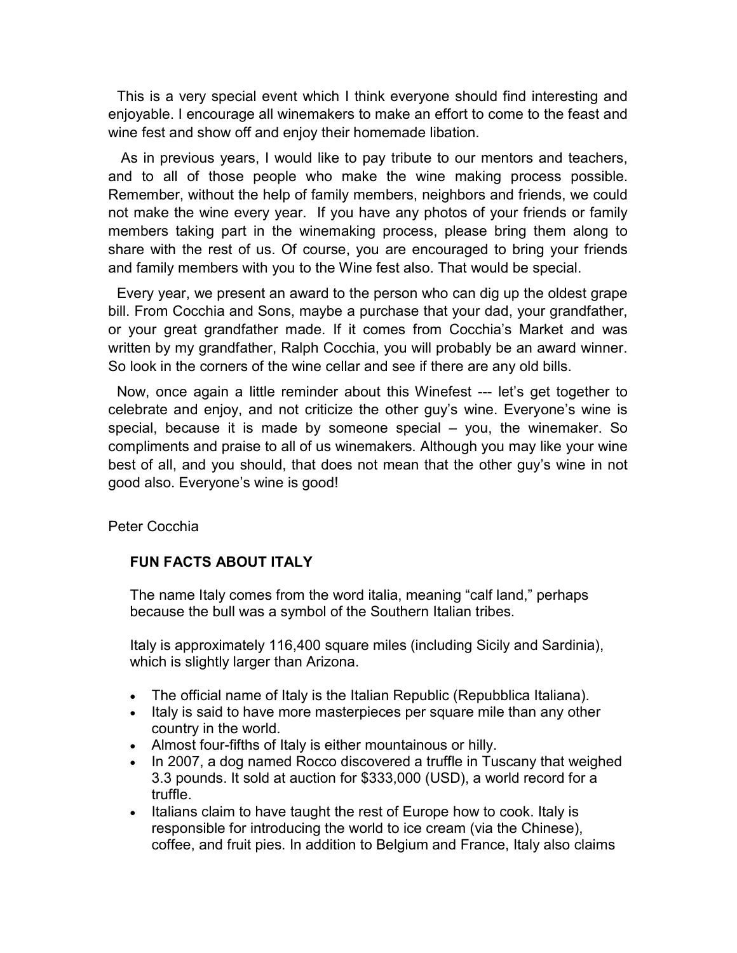This is a very special event which I think everyone should find interesting and enjoyable. I encourage all winemakers to make an effort to come to the feast and wine fest and show off and enjoy their homemade libation.

 As in previous years, I would like to pay tribute to our mentors and teachers, and to all of those people who make the wine making process possible. Remember, without the help of family members, neighbors and friends, we could not make the wine every year. If you have any photos of your friends or family members taking part in the winemaking process, please bring them along to share with the rest of us. Of course, you are encouraged to bring your friends and family members with you to the Wine fest also. That would be special.

Every year, we present an award to the person who can dig up the oldest grape bill. From Cocchia and Sons, maybe a purchase that your dad, your grandfather, or your great grandfather made. If it comes from Cocchia's Market and was written by my grandfather, Ralph Cocchia, you will probably be an award winner. So look in the corners of the wine cellar and see if there are any old bills.

Now, once again a little reminder about this Winefest --- let's get together to celebrate and enjoy, and not criticize the other guy's wine. Everyone's wine is special, because it is made by someone special – you, the winemaker. So compliments and praise to all of us winemakers. Although you may like your wine best of all, and you should, that does not mean that the other guy's wine in not good also. Everyone's wine is good!

Peter Cocchia

## FUN FACTS ABOUT ITALY

The name Italy comes from the word italia, meaning "calf land," perhaps because the bull was a symbol of the Southern Italian tribes.

Italy is approximately 116,400 square miles (including Sicily and Sardinia), which is slightly larger than Arizona.

- The official name of Italy is the Italian Republic (Repubblica Italiana).
- Italy is said to have more masterpieces per square mile than any other country in the world.
- Almost four-fifths of Italy is either mountainous or hilly.
- In 2007, a dog named Rocco discovered a truffle in Tuscany that weighed 3.3 pounds. It sold at auction for \$333,000 (USD), a world record for a truffle.
- Italians claim to have taught the rest of Europe how to cook. Italy is responsible for introducing the world to ice cream (via the Chinese), coffee, and fruit pies. In addition to Belgium and France, Italy also claims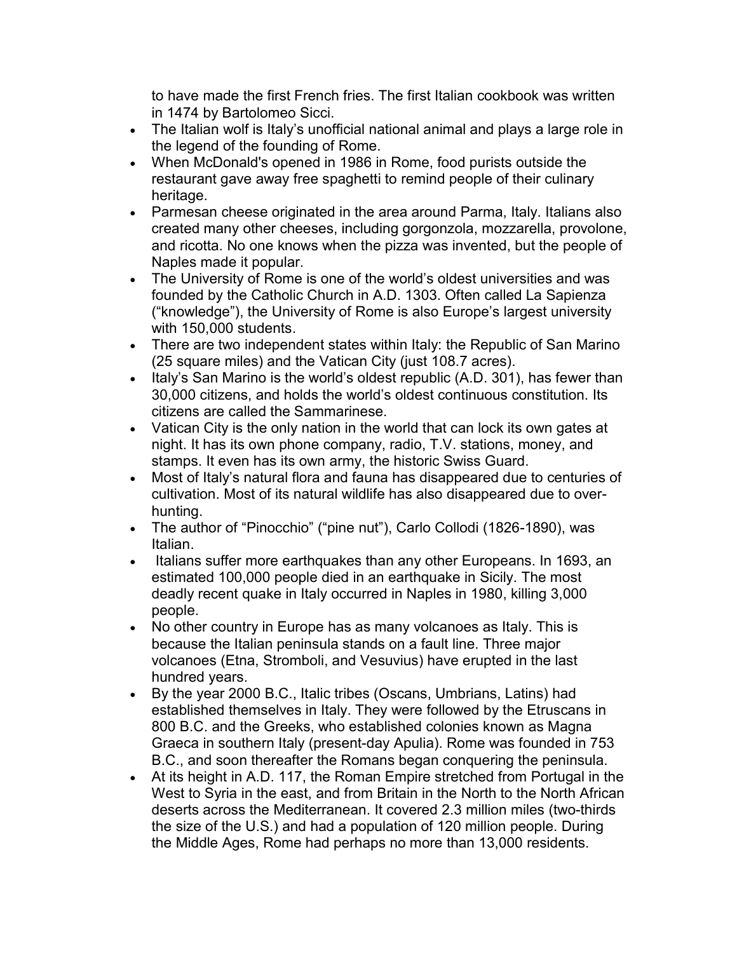to have made the first French fries. The first Italian cookbook was written in 1474 by Bartolomeo Sicci.

- The Italian wolf is Italy's unofficial national animal and plays a large role in the legend of the founding of Rome.
- When McDonald's opened in 1986 in Rome, food purists outside the restaurant gave away free spaghetti to remind people of their culinary heritage.
- Parmesan cheese originated in the area around Parma, Italy. Italians also created many other cheeses, including gorgonzola, mozzarella, provolone, and ricotta. No one knows when the pizza was invented, but the people of Naples made it popular.
- The University of Rome is one of the world's oldest universities and was founded by the Catholic Church in A.D. 1303. Often called La Sapienza ("knowledge"), the University of Rome is also Europe's largest university with 150,000 students.
- There are two independent states within Italy: the Republic of San Marino (25 square miles) and the Vatican City (just 108.7 acres).
- Italy's San Marino is the world's oldest republic (A.D. 301), has fewer than 30,000 citizens, and holds the world's oldest continuous constitution. Its citizens are called the Sammarinese.
- Vatican City is the only nation in the world that can lock its own gates at night. It has its own phone company, radio, T.V. stations, money, and stamps. It even has its own army, the historic Swiss Guard.
- Most of Italy's natural flora and fauna has disappeared due to centuries of cultivation. Most of its natural wildlife has also disappeared due to overhunting.
- The author of "Pinocchio" ("pine nut"), Carlo Collodi (1826-1890), was Italian.
- Italians suffer more earthquakes than any other Europeans. In 1693, an estimated 100,000 people died in an earthquake in Sicily. The most deadly recent quake in Italy occurred in Naples in 1980, killing 3,000 people.
- No other country in Europe has as many volcanoes as Italy. This is because the Italian peninsula stands on a fault line. Three major volcanoes (Etna, Stromboli, and Vesuvius) have erupted in the last hundred years.
- By the year 2000 B.C., Italic tribes (Oscans, Umbrians, Latins) had established themselves in Italy. They were followed by the Etruscans in 800 B.C. and the Greeks, who established colonies known as Magna Graeca in southern Italy (present-day Apulia). Rome was founded in 753 B.C., and soon thereafter the Romans began conquering the peninsula.
- At its height in A.D. 117, the Roman Empire stretched from Portugal in the West to Syria in the east, and from Britain in the North to the North African deserts across the Mediterranean. It covered 2.3 million miles (two-thirds the size of the U.S.) and had a population of 120 million people. During the Middle Ages, Rome had perhaps no more than 13,000 residents.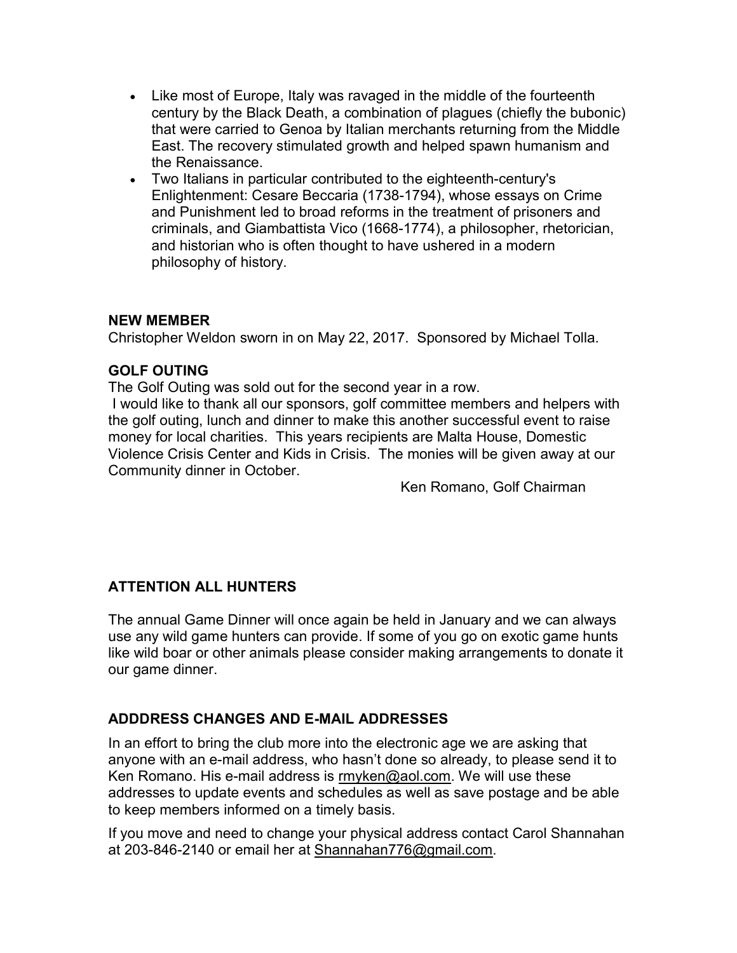- Like most of Europe, Italy was ravaged in the middle of the fourteenth century by the Black Death, a combination of plagues (chiefly the bubonic) that were carried to Genoa by Italian merchants returning from the Middle East. The recovery stimulated growth and helped spawn humanism and the Renaissance.
- Two Italians in particular contributed to the eighteenth-century's Enlightenment: Cesare Beccaria (1738-1794), whose essays on Crime and Punishment led to broad reforms in the treatment of prisoners and criminals, and Giambattista Vico (1668-1774), a philosopher, rhetorician, and historian who is often thought to have ushered in a modern philosophy of history.

### NEW MEMBER

Christopher Weldon sworn in on May 22, 2017. Sponsored by Michael Tolla.

### GOLF OUTING

The Golf Outing was sold out for the second year in a row.

 I would like to thank all our sponsors, golf committee members and helpers with the golf outing, lunch and dinner to make this another successful event to raise money for local charities. This years recipients are Malta House, Domestic Violence Crisis Center and Kids in Crisis. The monies will be given away at our Community dinner in October.

Ken Romano, Golf Chairman

#### ATTENTION ALL HUNTERS

The annual Game Dinner will once again be held in January and we can always use any wild game hunters can provide. If some of you go on exotic game hunts like wild boar or other animals please consider making arrangements to donate it our game dinner.

## ADDDRESS CHANGES AND E-MAIL ADDRESSES

In an effort to bring the club more into the electronic age we are asking that anyone with an e-mail address, who hasn't done so already, to please send it to Ken Romano. His e-mail address is rmyken@aol.com. We will use these addresses to update events and schedules as well as save postage and be able to keep members informed on a timely basis.

If you move and need to change your physical address contact Carol Shannahan at 203-846-2140 or email her at Shannahan776@gmail.com.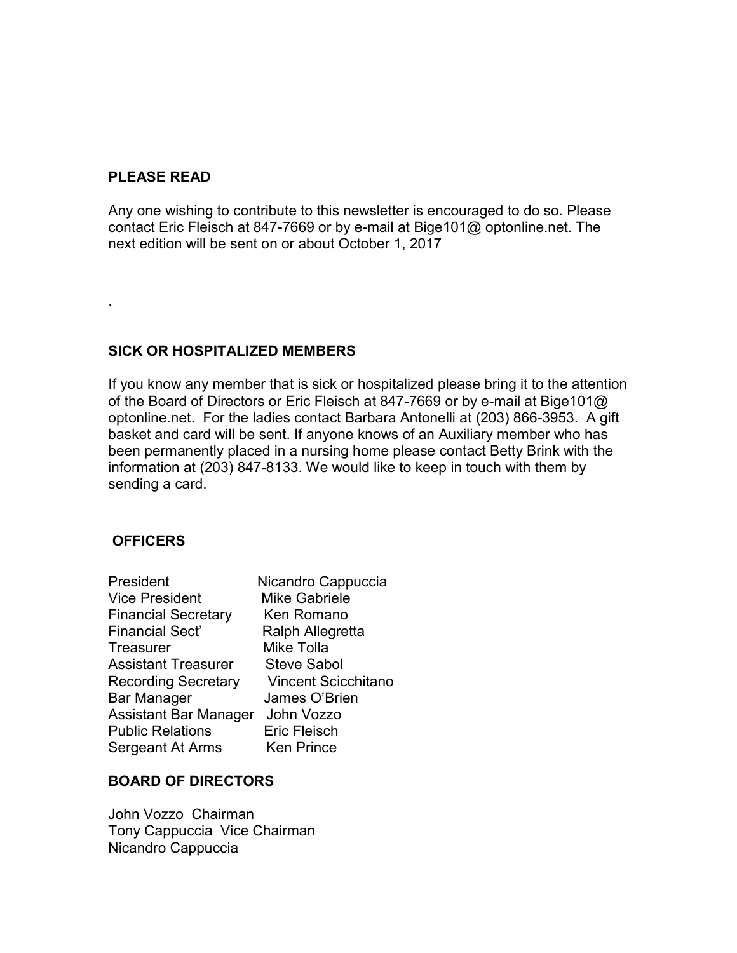#### PLEASE READ

.

Any one wishing to contribute to this newsletter is encouraged to do so. Please contact Eric Fleisch at 847-7669 or by e-mail at Bige101@ optonline.net. The next edition will be sent on or about October 1, 2017

#### SICK OR HOSPITALIZED MEMBERS

If you know any member that is sick or hospitalized please bring it to the attention of the Board of Directors or Eric Fleisch at 847-7669 or by e-mail at Bige101@ optonline.net. For the ladies contact Barbara Antonelli at (203) 866-3953. A gift basket and card will be sent. If anyone knows of an Auxiliary member who has been permanently placed in a nursing home please contact Betty Brink with the information at (203) 847-8133. We would like to keep in touch with them by sending a card.

#### **OFFICERS**

| President                  | Nicandro Cappuccia         |
|----------------------------|----------------------------|
| <b>Vice President</b>      | <b>Mike Gabriele</b>       |
| <b>Financial Secretary</b> | Ken Romano                 |
| <b>Financial Sect'</b>     | Ralph Allegretta           |
| Treasurer                  | Mike Tolla                 |
| Assistant Treasurer        | <b>Steve Sabol</b>         |
| <b>Recording Secretary</b> | <b>Vincent Scicchitano</b> |
| Bar Manager                | James O'Brien              |
| Assistant Bar Manager      | John Vozzo                 |
| <b>Public Relations</b>    | <b>Eric Fleisch</b>        |
| Sergeant At Arms           | Ken Prince                 |

#### BOARD OF DIRECTORS

John Vozzo Chairman Tony Cappuccia Vice Chairman Nicandro Cappuccia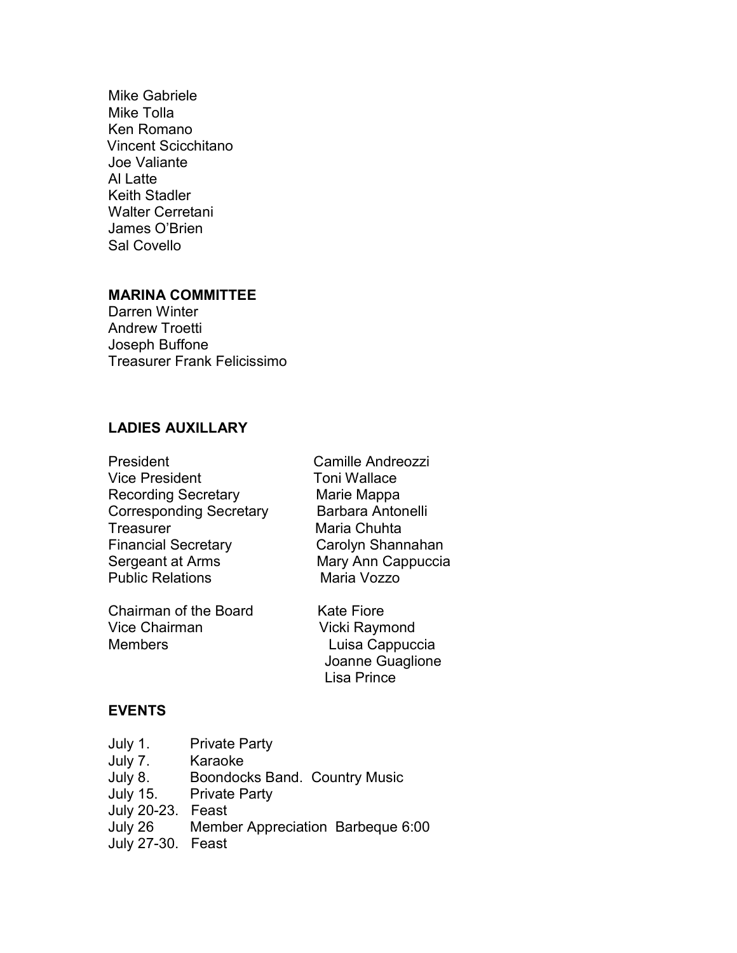Mike Gabriele Mike Tolla Ken Romano Vincent Scicchitano Joe Valiante Al Latte Keith Stadler Walter Cerretani James O'Brien Sal Covello

### MARINA COMMITTEE

Darren Winter Andrew Troetti Joseph Buffone Treasurer Frank Felicissimo

## LADIES AUXILLARY

| President                      |   |
|--------------------------------|---|
| <b>Vice President</b>          |   |
| <b>Recording Secretary</b>     |   |
| <b>Corresponding Secretary</b> |   |
| <b>Treasurer</b>               | Ŋ |
| <b>Financial Secretary</b>     |   |
| Sergeant at Arms               |   |
| <b>Public Relations</b>        |   |
|                                |   |

Chairman of the Board Kate Fiore Vice Chairman Vicki Raymond Members **Luisa Cappuccia** 

Camille Andreozzi Toni Wallace Marie Mappa Barbara Antonelli Maria Chuhta Carolyn Shannahan Mary Ann Cappuccia Maria Vozzo

 Joanne Guaglione Lisa Prince

### EVENTS

| July 1.           | <b>Private Party</b>                 |
|-------------------|--------------------------------------|
| July 7.           | Karaoke                              |
| July 8.           | <b>Boondocks Band. Country Music</b> |
| July 15.          | <b>Private Party</b>                 |
| July 20-23. Feast |                                      |
| July 26           | Member Appreciation Barbeque 6:00    |
| July 27-30. Feast |                                      |